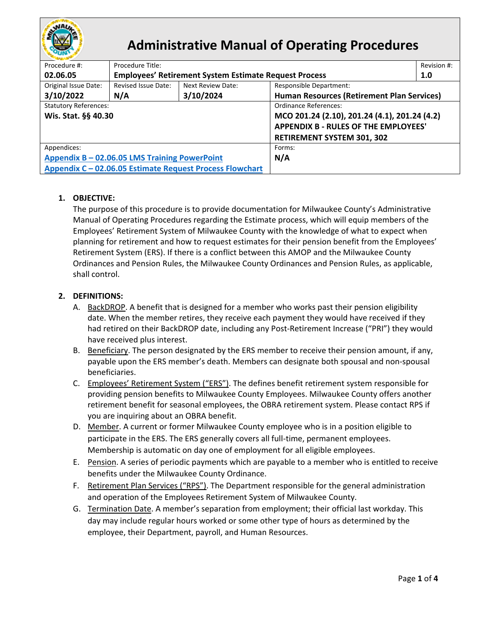

# **Administrative Manual of Operating Procedures**

| Procedure #:                                             | Procedure Title:                                             |                   |                                               | Revision #: |  |
|----------------------------------------------------------|--------------------------------------------------------------|-------------------|-----------------------------------------------|-------------|--|
| 02.06.05                                                 | <b>Employees' Retirement System Estimate Request Process</b> |                   |                                               | 1.0         |  |
| Original Issue Date:                                     | Revised Issue Date:                                          | Next Review Date: | <b>Responsible Department:</b>                |             |  |
| 3/10/2022                                                | N/A                                                          | 3/10/2024         | Human Resources (Retirement Plan Services)    |             |  |
| <b>Statutory References:</b>                             |                                                              |                   | Ordinance References:                         |             |  |
| Wis. Stat. §§ 40.30                                      |                                                              |                   | MCO 201.24 (2.10), 201.24 (4.1), 201.24 (4.2) |             |  |
|                                                          |                                                              |                   | <b>APPENDIX B - RULES OF THE EMPLOYEES'</b>   |             |  |
|                                                          |                                                              |                   | <b>RETIREMENT SYSTEM 301, 302</b>             |             |  |
| Appendices:                                              |                                                              |                   | Forms:                                        |             |  |
| Appendix B - 02.06.05 LMS Training PowerPoint            |                                                              |                   | N/A                                           |             |  |
| Appendix C - 02.06.05 Estimate Request Process Flowchart |                                                              |                   |                                               |             |  |
|                                                          |                                                              |                   |                                               |             |  |

# **1. OBJECTIVE:**

The purpose of this procedure is to provide documentation for Milwaukee County's Administrative Manual of Operating Procedures regarding the Estimate process, which will equip members of the Employees' Retirement System of Milwaukee County with the knowledge of what to expect when planning for retirement and how to request estimates for their pension benefit from the Employees' Retirement System (ERS). If there is a conflict between this AMOP and the Milwaukee County Ordinances and Pension Rules, the Milwaukee County Ordinances and Pension Rules, as applicable, shall control.

# **2. DEFINITIONS:**

- A. BackDROP. A benefit that is designed for a member who works past their pension eligibility date. When the member retires, they receive each payment they would have received if they had retired on their BackDROP date, including any Post-Retirement Increase ("PRI") they would have received plus interest.
- B. Beneficiary. The person designated by the ERS member to receive their pension amount, if any, payable upon the ERS member's death. Members can designate both spousal and non-spousal beneficiaries.
- C. Employees' Retirement System ("ERS"). The defines benefit retirement system responsible for providing pension benefits to Milwaukee County Employees. Milwaukee County offers another retirement benefit for seasonal employees, the OBRA retirement system. Please contact RPS if you are inquiring about an OBRA benefit.
- D. Member. A current or former Milwaukee County employee who is in a position eligible to participate in the ERS. The ERS generally covers all full-time, permanent employees. Membership is automatic on day one of employment for all eligible employees.
- E. Pension. A series of periodic payments which are payable to a member who is entitled to receive benefits under the Milwaukee County Ordinance.
- F. Retirement Plan Services ("RPS"). The Department responsible for the general administration and operation of the Employees Retirement System of Milwaukee County.
- G. Termination Date. A member's separation from employment; their official last workday. This day may include regular hours worked or some other type of hours as determined by the employee, their Department, payroll, and Human Resources.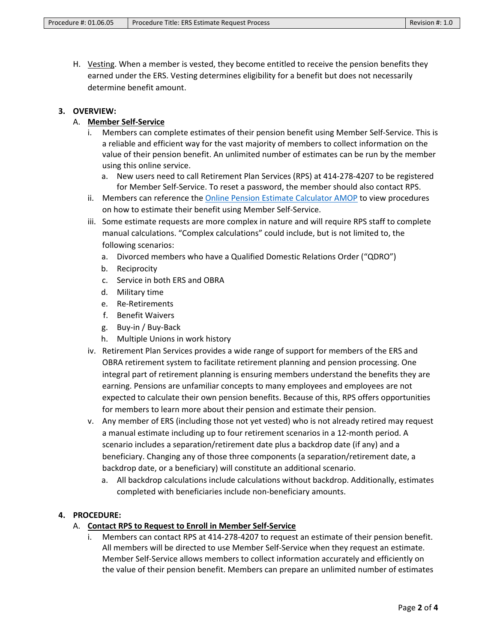H. Vesting. When a member is vested, they become entitled to receive the pension benefits they earned under the ERS. Vesting determines eligibility for a benefit but does not necessarily determine benefit amount.

## **3. OVERVIEW:**

# A. **Member Self-Service**

- i. Members can complete estimates of their pension benefit using Member Self-Service. This is a reliable and efficient way for the vast majority of members to collect information on the value of their pension benefit. An unlimited number of estimates can be run by the member using this online service.
	- a. New users need to call Retirement Plan Services (RPS) at 414-278-4207 to be registered for Member Self-Service. To reset a password, the member should also contact RPS.
- ii. Members can reference the [Online Pension Estimate Calculator AMOP](https://county.milwaukee.gov/files/county/administrative-services/AMOP/Chapter-2-Human-Resources/02.06.02-OnlinePensionEstimateCalculator.pdf) to view procedures on how to estimate their benefit using Member Self-Service.
- iii. Some estimate requests are more complex in nature and will require RPS staff to complete manual calculations. "Complex calculations" could include, but is not limited to, the following scenarios:
	- a. Divorced members who have a Qualified Domestic Relations Order ("QDRO")
	- b. Reciprocity
	- c. Service in both ERS and OBRA
	- d. Military time
	- e. Re-Retirements
	- f. Benefit Waivers
	- g. Buy-in / Buy-Back
	- h. Multiple Unions in work history
- iv. Retirement Plan Services provides a wide range of support for members of the ERS and OBRA retirement system to facilitate retirement planning and pension processing. One integral part of retirement planning is ensuring members understand the benefits they are earning. Pensions are unfamiliar concepts to many employees and employees are not expected to calculate their own pension benefits. Because of this, RPS offers opportunities for members to learn more about their pension and estimate their pension.
- v. Any member of ERS (including those not yet vested) who is not already retired may request a manual estimate including up to four retirement scenarios in a 12-month period. A scenario includes a separation/retirement date plus a backdrop date (if any) and a beneficiary. Changing any of those three components (a separation/retirement date, a backdrop date, or a beneficiary) will constitute an additional scenario.
	- a. All backdrop calculations include calculations without backdrop. Additionally, estimates completed with beneficiaries include non-beneficiary amounts.

## **4. PROCEDURE:**

## A. **Contact RPS to Request to Enroll in Member Self-Service**

Members can contact RPS at 414-278-4207 to request an estimate of their pension benefit. All members will be directed to use Member Self-Service when they request an estimate. Member Self-Service allows members to collect information accurately and efficiently on the value of their pension benefit. Members can prepare an unlimited number of estimates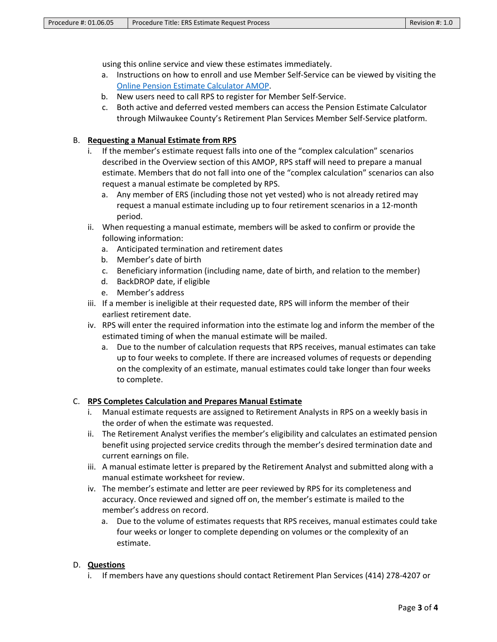using this online service and view these estimates immediately.

- a. Instructions on how to enroll and use Member Self-Service can be viewed by visiting the [Online Pension Estimate Calculator AMOP.](https://county.milwaukee.gov/files/county/administrative-services/AMOP/Chapter-2-Human-Resources/02.06.02-OnlinePensionEstimateCalculator.pdf)
- b. New users need to call RPS to register for Member Self-Service.
- c. Both active and deferred vested members can access the Pension Estimate Calculator through Milwaukee County's Retirement Plan Services Member Self-Service platform.

#### B. **Requesting a Manual Estimate from RPS**

- i. If the member's estimate request falls into one of the "complex calculation" scenarios described in the Overview section of this AMOP, RPS staff will need to prepare a manual estimate. Members that do not fall into one of the "complex calculation" scenarios can also request a manual estimate be completed by RPS.
	- a. Any member of ERS (including those not yet vested) who is not already retired may request a manual estimate including up to four retirement scenarios in a 12-month period.
- ii. When requesting a manual estimate, members will be asked to confirm or provide the following information:
	- a. Anticipated termination and retirement dates
	- b. Member's date of birth
	- c. Beneficiary information (including name, date of birth, and relation to the member)
	- d. BackDROP date, if eligible
	- e. Member's address
- iii. If a member is ineligible at their requested date, RPS will inform the member of their earliest retirement date.
- iv. RPS will enter the required information into the estimate log and inform the member of the estimated timing of when the manual estimate will be mailed.
	- a. Due to the number of calculation requests that RPS receives, manual estimates can take up to four weeks to complete. If there are increased volumes of requests or depending on the complexity of an estimate, manual estimates could take longer than four weeks to complete.

#### C. **RPS Completes Calculation and Prepares Manual Estimate**

- i. Manual estimate requests are assigned to Retirement Analysts in RPS on a weekly basis in the order of when the estimate was requested.
- ii. The Retirement Analyst verifies the member's eligibility and calculates an estimated pension benefit using projected service credits through the member's desired termination date and current earnings on file.
- iii. A manual estimate letter is prepared by the Retirement Analyst and submitted along with a manual estimate worksheet for review.
- iv. The member's estimate and letter are peer reviewed by RPS for its completeness and accuracy. Once reviewed and signed off on, the member's estimate is mailed to the member's address on record.
	- a. Due to the volume of estimates requests that RPS receives, manual estimates could take four weeks or longer to complete depending on volumes or the complexity of an estimate.

#### D. **Questions**

i. If members have any questions should contact Retirement Plan Services (414) 278-4207 or